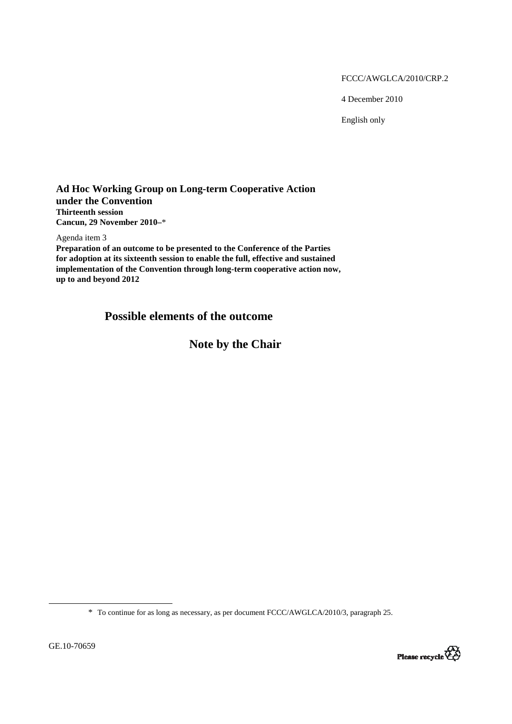FCCC/AWGLCA/2010/CRP.2

4 December 2010

English only

## **Ad Hoc Working Group on Long-term Cooperative Action under the Convention Thirteenth session Cancun, 29 November 2010–**\*

Agenda item 3

**Preparation of an outcome to be presented to the Conference of the Parties for adoption at its sixteenth session to enable the full, effective and sustained implementation of the Convention through long-term cooperative action now, up to and beyond 2012** 

# **Possible elements of the outcome**

**Note by the Chair** 

\* To continue for as long as necessary, as per document FCCC/AWGLCA/2010/3, paragraph 25.

 $\overline{a}$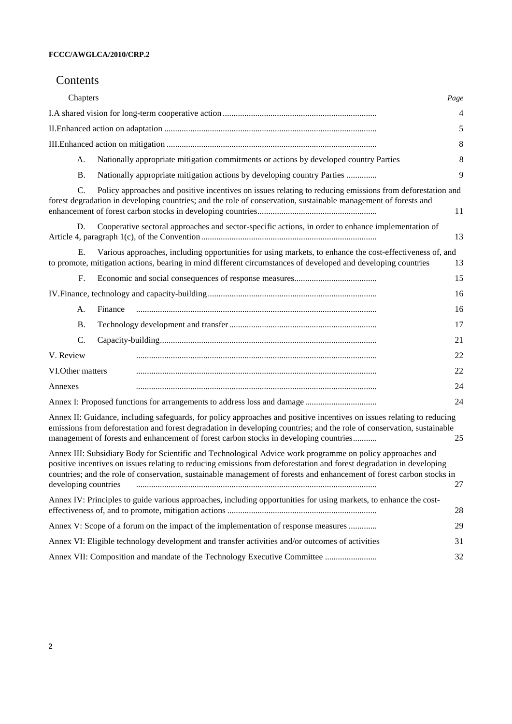## Contents

| Chapters                                                                                                                                                                                                                                                                                                                                                                                                                                                                                                                                                                                                                                                                                                                                                                                                                             | Page |
|--------------------------------------------------------------------------------------------------------------------------------------------------------------------------------------------------------------------------------------------------------------------------------------------------------------------------------------------------------------------------------------------------------------------------------------------------------------------------------------------------------------------------------------------------------------------------------------------------------------------------------------------------------------------------------------------------------------------------------------------------------------------------------------------------------------------------------------|------|
|                                                                                                                                                                                                                                                                                                                                                                                                                                                                                                                                                                                                                                                                                                                                                                                                                                      | 4    |
|                                                                                                                                                                                                                                                                                                                                                                                                                                                                                                                                                                                                                                                                                                                                                                                                                                      | 5    |
|                                                                                                                                                                                                                                                                                                                                                                                                                                                                                                                                                                                                                                                                                                                                                                                                                                      | 8    |
| Nationally appropriate mitigation commitments or actions by developed country Parties<br>A.                                                                                                                                                                                                                                                                                                                                                                                                                                                                                                                                                                                                                                                                                                                                          | 8    |
| <b>B.</b><br>Nationally appropriate mitigation actions by developing country Parties                                                                                                                                                                                                                                                                                                                                                                                                                                                                                                                                                                                                                                                                                                                                                 | 9    |
| Policy approaches and positive incentives on issues relating to reducing emissions from deforestation and<br>C.<br>forest degradation in developing countries; and the role of conservation, sustainable management of forests and                                                                                                                                                                                                                                                                                                                                                                                                                                                                                                                                                                                                   | 11   |
| Cooperative sectoral approaches and sector-specific actions, in order to enhance implementation of<br>D.                                                                                                                                                                                                                                                                                                                                                                                                                                                                                                                                                                                                                                                                                                                             | 13   |
| Various approaches, including opportunities for using markets, to enhance the cost-effectiveness of, and<br>Е.<br>to promote, mitigation actions, bearing in mind different circumstances of developed and developing countries                                                                                                                                                                                                                                                                                                                                                                                                                                                                                                                                                                                                      | 13   |
| F.                                                                                                                                                                                                                                                                                                                                                                                                                                                                                                                                                                                                                                                                                                                                                                                                                                   | 15   |
|                                                                                                                                                                                                                                                                                                                                                                                                                                                                                                                                                                                                                                                                                                                                                                                                                                      | 16   |
| Finance<br>A.                                                                                                                                                                                                                                                                                                                                                                                                                                                                                                                                                                                                                                                                                                                                                                                                                        | 16   |
| <b>B.</b>                                                                                                                                                                                                                                                                                                                                                                                                                                                                                                                                                                                                                                                                                                                                                                                                                            | 17   |
| C.                                                                                                                                                                                                                                                                                                                                                                                                                                                                                                                                                                                                                                                                                                                                                                                                                                   | 21   |
| V. Review                                                                                                                                                                                                                                                                                                                                                                                                                                                                                                                                                                                                                                                                                                                                                                                                                            | 22   |
| VI.Other matters                                                                                                                                                                                                                                                                                                                                                                                                                                                                                                                                                                                                                                                                                                                                                                                                                     | 22   |
| Annexes                                                                                                                                                                                                                                                                                                                                                                                                                                                                                                                                                                                                                                                                                                                                                                                                                              | 24   |
|                                                                                                                                                                                                                                                                                                                                                                                                                                                                                                                                                                                                                                                                                                                                                                                                                                      | 24   |
| Annex II: Guidance, including safeguards, for policy approaches and positive incentives on issues relating to reducing<br>emissions from deforestation and forest degradation in developing countries; and the role of conservation, sustainable<br>management of forests and enhancement of forest carbon stocks in developing countries                                                                                                                                                                                                                                                                                                                                                                                                                                                                                            | 25   |
| Annex III: Subsidiary Body for Scientific and Technological Advice work programme on policy approaches and<br>positive incentives on issues relating to reducing emissions from deforestation and forest degradation in developing<br>countries; and the role of conservation, sustainable management of forests and enhancement of forest carbon stocks in<br>developing countries<br>$\begin{minipage}{0.5\textwidth} \begin{tabular}{ c c c c c } \hline \multicolumn{1}{ c }{0.9\textwidth} \begin{tabular}{ c c c } \hline \multicolumn{1}{ c }{0.9\textwidth} \begin{tabular}{ c c c } \hline \multicolumn{1}{ c }{0.9\textwidth} \begin{tabular}{ c c c } \hline \multicolumn{1}{ c }{0.9\textwidth} \begin{tabular}{ c c c } \hline \multicolumn{1}{ c }{0.9\textwidth} \begin{tabular}{ c c c } \hline \multicolumn{1}{ c $ | 27   |
| Annex IV: Principles to guide various approaches, including opportunities for using markets, to enhance the cost-                                                                                                                                                                                                                                                                                                                                                                                                                                                                                                                                                                                                                                                                                                                    | 28   |
| Annex V: Scope of a forum on the impact of the implementation of response measures                                                                                                                                                                                                                                                                                                                                                                                                                                                                                                                                                                                                                                                                                                                                                   | 29   |
| Annex VI: Eligible technology development and transfer activities and/or outcomes of activities                                                                                                                                                                                                                                                                                                                                                                                                                                                                                                                                                                                                                                                                                                                                      | 31   |
| Annex VII: Composition and mandate of the Technology Executive Committee                                                                                                                                                                                                                                                                                                                                                                                                                                                                                                                                                                                                                                                                                                                                                             | 32   |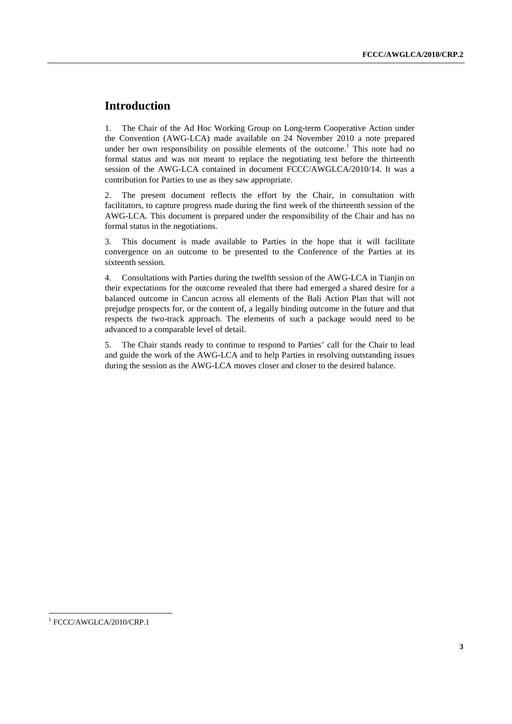# **Introduction**

1. The Chair of the Ad Hoc Working Group on Long-term Cooperative Action under the Convention (AWG-LCA) made available on 24 November 2010 a note prepared under her own responsibility on possible elements of the outcome.<sup>1</sup> This note had no formal status and was not meant to replace the negotiating text before the thirteenth session of the AWG-LCA contained in document FCCC/AWGLCA/2010/14. It was a contribution for Parties to use as they saw appropriate.

2. The present document reflects the effort by the Chair, in consultation with facilitators, to capture progress made during the first week of the thirteenth session of the AWG-LCA. This document is prepared under the responsibility of the Chair and has no formal status in the negotiations.

3. This document is made available to Parties in the hope that it will facilitate convergence on an outcome to be presented to the Conference of the Parties at its sixteenth session.

4. Consultations with Parties during the twelfth session of the AWG-LCA in Tianjin on their expectations for the outcome revealed that there had emerged a shared desire for a balanced outcome in Cancun across all elements of the Bali Action Plan that will not prejudge prospects for, or the content of, a legally binding outcome in the future and that respects the two-track approach. The elements of such a package would need to be advanced to a comparable level of detail.

5. The Chair stands ready to continue to respond to Parties' call for the Chair to lead and guide the work of the AWG-LCA and to help Parties in resolving outstanding issues during the session as the AWG-LCA moves closer and closer to the desired balance.

 $\overline{a}$ 

<sup>&</sup>lt;sup>1</sup> FCCC/AWGLCA/2010/CRP.1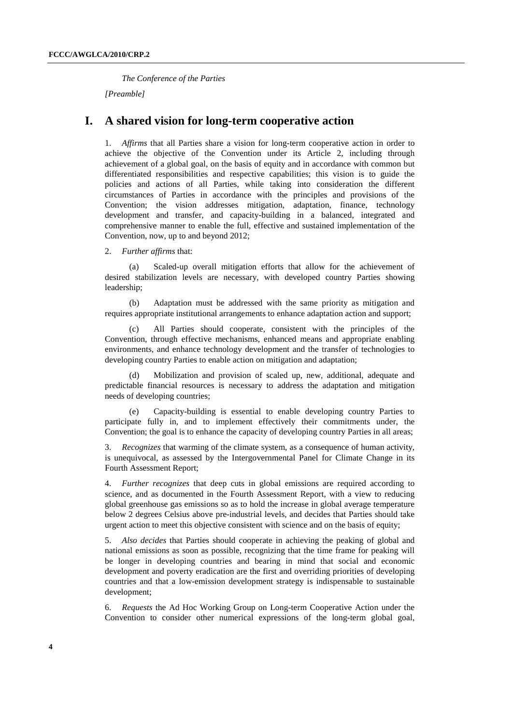*The Conference of the Parties* 

*[Preamble]*

## **I. A shared vision for long-term cooperative action**

1. *Affirms* that all Parties share a vision for long-term cooperative action in order to achieve the objective of the Convention under its Article 2, including through achievement of a global goal, on the basis of equity and in accordance with common but differentiated responsibilities and respective capabilities; this vision is to guide the policies and actions of all Parties, while taking into consideration the different circumstances of Parties in accordance with the principles and provisions of the Convention; the vision addresses mitigation, adaptation, finance, technology development and transfer, and capacity-building in a balanced, integrated and comprehensive manner to enable the full, effective and sustained implementation of the Convention, now, up to and beyond 2012;

2. *Further affirms* that:

(a) Scaled-up overall mitigation efforts that allow for the achievement of desired stabilization levels are necessary, with developed country Parties showing leadership;

(b) Adaptation must be addressed with the same priority as mitigation and requires appropriate institutional arrangements to enhance adaptation action and support;

(c) All Parties should cooperate, consistent with the principles of the Convention, through effective mechanisms, enhanced means and appropriate enabling environments, and enhance technology development and the transfer of technologies to developing country Parties to enable action on mitigation and adaptation;

(d) Mobilization and provision of scaled up, new, additional, adequate and predictable financial resources is necessary to address the adaptation and mitigation needs of developing countries;

(e) Capacity-building is essential to enable developing country Parties to participate fully in, and to implement effectively their commitments under, the Convention; the goal is to enhance the capacity of developing country Parties in all areas;

3. *Recognizes* that warming of the climate system, as a consequence of human activity, is unequivocal, as assessed by the Intergovernmental Panel for Climate Change in its Fourth Assessment Report;

4. *Further recognizes* that deep cuts in global emissions are required according to science, and as documented in the Fourth Assessment Report, with a view to reducing global greenhouse gas emissions so as to hold the increase in global average temperature below 2 degrees Celsius above pre-industrial levels, and decides that Parties should take urgent action to meet this objective consistent with science and on the basis of equity;

5. *Also decides* that Parties should cooperate in achieving the peaking of global and national emissions as soon as possible, recognizing that the time frame for peaking will be longer in developing countries and bearing in mind that social and economic development and poverty eradication are the first and overriding priorities of developing countries and that a low-emission development strategy is indispensable to sustainable development;

6. *Requests* the Ad Hoc Working Group on Long-term Cooperative Action under the Convention to consider other numerical expressions of the long-term global goal,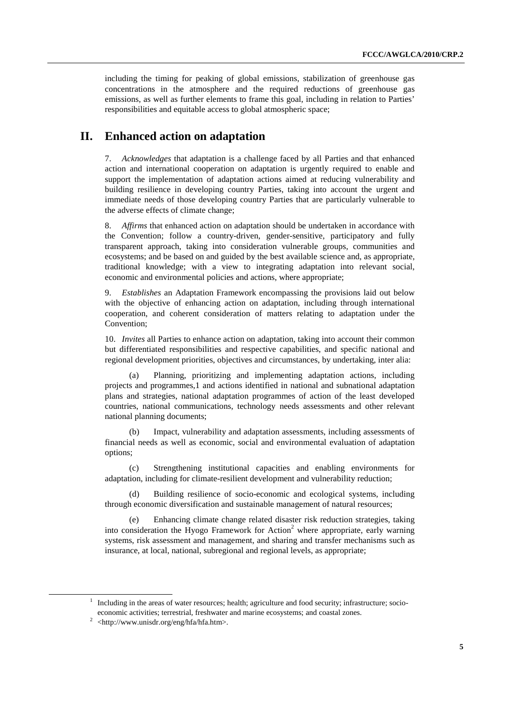including the timing for peaking of global emissions, stabilization of greenhouse gas concentrations in the atmosphere and the required reductions of greenhouse gas emissions, as well as further elements to frame this goal, including in relation to Parties' responsibilities and equitable access to global atmospheric space;

# **II. Enhanced action on adaptation**

7. *Acknowledges* that adaptation is a challenge faced by all Parties and that enhanced action and international cooperation on adaptation is urgently required to enable and support the implementation of adaptation actions aimed at reducing vulnerability and building resilience in developing country Parties, taking into account the urgent and immediate needs of those developing country Parties that are particularly vulnerable to the adverse effects of climate change;

8. *Affirms* that enhanced action on adaptation should be undertaken in accordance with the Convention; follow a country-driven, gender-sensitive, participatory and fully transparent approach, taking into consideration vulnerable groups, communities and ecosystems; and be based on and guided by the best available science and, as appropriate, traditional knowledge; with a view to integrating adaptation into relevant social, economic and environmental policies and actions, where appropriate;

9. *Establishes* an Adaptation Framework encompassing the provisions laid out below with the objective of enhancing action on adaptation, including through international cooperation, and coherent consideration of matters relating to adaptation under the Convention;

10. *Invites* all Parties to enhance action on adaptation, taking into account their common but differentiated responsibilities and respective capabilities, and specific national and regional development priorities, objectives and circumstances, by undertaking, inter alia:

(a) Planning, prioritizing and implementing adaptation actions, including projects and programmes,1 and actions identified in national and subnational adaptation plans and strategies, national adaptation programmes of action of the least developed countries, national communications, technology needs assessments and other relevant national planning documents;

(b) Impact, vulnerability and adaptation assessments, including assessments of financial needs as well as economic, social and environmental evaluation of adaptation options;

(c) Strengthening institutional capacities and enabling environments for adaptation, including for climate-resilient development and vulnerability reduction;

(d) Building resilience of socio-economic and ecological systems, including through economic diversification and sustainable management of natural resources;

(e) Enhancing climate change related disaster risk reduction strategies, taking into consideration the Hyogo Framework for Action<sup>2</sup> where appropriate, early warning systems, risk assessment and management, and sharing and transfer mechanisms such as insurance, at local, national, subregional and regional levels, as appropriate;

<sup>&</sup>lt;u>1</u>  $1$  Including in the areas of water resources; health; agriculture and food security; infrastructure; socioeconomic activities; terrestrial, freshwater and marine ecosystems; and coastal zones. 2

 $2$  <http://www.unisdr.org/eng/hfa/hfa.htm>.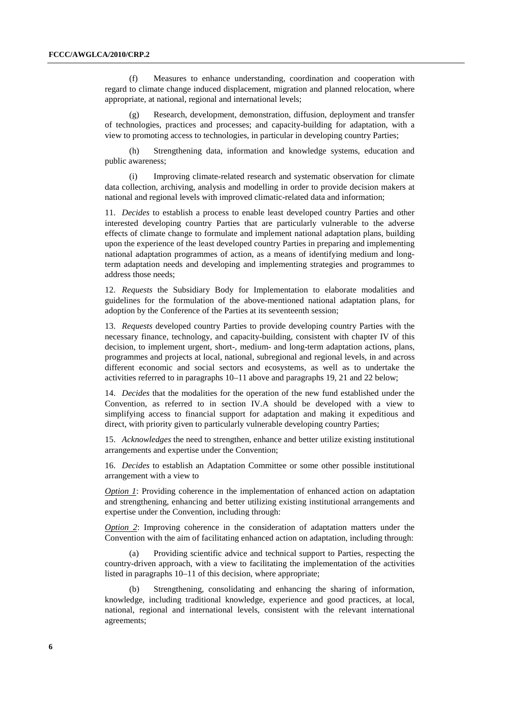(f) Measures to enhance understanding, coordination and cooperation with regard to climate change induced displacement, migration and planned relocation, where appropriate, at national, regional and international levels;

(g) Research, development, demonstration, diffusion, deployment and transfer of technologies, practices and processes; and capacity-building for adaptation, with a view to promoting access to technologies, in particular in developing country Parties;

(h) Strengthening data, information and knowledge systems, education and public awareness;

(i) Improving climate-related research and systematic observation for climate data collection, archiving, analysis and modelling in order to provide decision makers at national and regional levels with improved climatic-related data and information;

11. *Decides* to establish a process to enable least developed country Parties and other interested developing country Parties that are particularly vulnerable to the adverse effects of climate change to formulate and implement national adaptation plans, building upon the experience of the least developed country Parties in preparing and implementing national adaptation programmes of action, as a means of identifying medium and longterm adaptation needs and developing and implementing strategies and programmes to address those needs;

12. *Requests* the Subsidiary Body for Implementation to elaborate modalities and guidelines for the formulation of the above-mentioned national adaptation plans, for adoption by the Conference of the Parties at its seventeenth session;

13. *Requests* developed country Parties to provide developing country Parties with the necessary finance, technology, and capacity-building, consistent with chapter IV of this decision, to implement urgent, short-, medium- and long-term adaptation actions, plans, programmes and projects at local, national, subregional and regional levels, in and across different economic and social sectors and ecosystems, as well as to undertake the activities referred to in paragraphs 10–11 above and paragraphs 19, 21 and 22 below;

14. *Decides* that the modalities for the operation of the new fund established under the Convention, as referred to in section IV.A should be developed with a view to simplifying access to financial support for adaptation and making it expeditious and direct, with priority given to particularly vulnerable developing country Parties;

15. *Acknowledges* the need to strengthen, enhance and better utilize existing institutional arrangements and expertise under the Convention;

16. *Decides* to establish an Adaptation Committee or some other possible institutional arrangement with a view to

*Option 1*: Providing coherence in the implementation of enhanced action on adaptation and strengthening, enhancing and better utilizing existing institutional arrangements and expertise under the Convention, including through:

*Option 2*: Improving coherence in the consideration of adaptation matters under the Convention with the aim of facilitating enhanced action on adaptation, including through:

(a) Providing scientific advice and technical support to Parties, respecting the country-driven approach, with a view to facilitating the implementation of the activities listed in paragraphs 10–11 of this decision, where appropriate;

(b) Strengthening, consolidating and enhancing the sharing of information, knowledge, including traditional knowledge, experience and good practices, at local, national, regional and international levels, consistent with the relevant international agreements;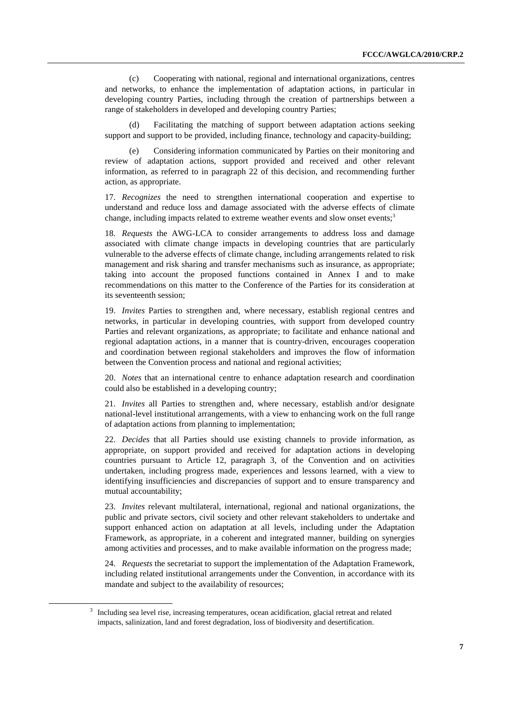(c) Cooperating with national, regional and international organizations, centres and networks, to enhance the implementation of adaptation actions, in particular in developing country Parties, including through the creation of partnerships between a range of stakeholders in developed and developing country Parties;

(d) Facilitating the matching of support between adaptation actions seeking support and support to be provided, including finance, technology and capacity-building;

(e) Considering information communicated by Parties on their monitoring and review of adaptation actions, support provided and received and other relevant information, as referred to in paragraph 22 of this decision, and recommending further action, as appropriate.

17. *Recognizes* the need to strengthen international cooperation and expertise to understand and reduce loss and damage associated with the adverse effects of climate change, including impacts related to extreme weather events and slow onset events:<sup>3</sup>

18. *Requests* the AWG-LCA to consider arrangements to address loss and damage associated with climate change impacts in developing countries that are particularly vulnerable to the adverse effects of climate change, including arrangements related to risk management and risk sharing and transfer mechanisms such as insurance, as appropriate; taking into account the proposed functions contained in Annex I and to make recommendations on this matter to the Conference of the Parties for its consideration at its seventeenth session;

19. *Invites* Parties to strengthen and, where necessary, establish regional centres and networks, in particular in developing countries, with support from developed country Parties and relevant organizations, as appropriate; to facilitate and enhance national and regional adaptation actions, in a manner that is country-driven, encourages cooperation and coordination between regional stakeholders and improves the flow of information between the Convention process and national and regional activities;

20. *Notes* that an international centre to enhance adaptation research and coordination could also be established in a developing country;

21. *Invites* all Parties to strengthen and, where necessary, establish and/or designate national-level institutional arrangements, with a view to enhancing work on the full range of adaptation actions from planning to implementation;

22. *Decides* that all Parties should use existing channels to provide information, as appropriate, on support provided and received for adaptation actions in developing countries pursuant to Article 12, paragraph 3, of the Convention and on activities undertaken, including progress made, experiences and lessons learned, with a view to identifying insufficiencies and discrepancies of support and to ensure transparency and mutual accountability;

23. *Invites* relevant multilateral, international, regional and national organizations, the public and private sectors, civil society and other relevant stakeholders to undertake and support enhanced action on adaptation at all levels, including under the Adaptation Framework, as appropriate, in a coherent and integrated manner, building on synergies among activities and processes, and to make available information on the progress made;

24. *Requests* the secretariat to support the implementation of the Adaptation Framework, including related institutional arrangements under the Convention, in accordance with its mandate and subject to the availability of resources;

 <sup>3</sup> <sup>3</sup> Including sea level rise, increasing temperatures, ocean acidification, glacial retreat and related impacts, salinization, land and forest degradation, loss of biodiversity and desertification.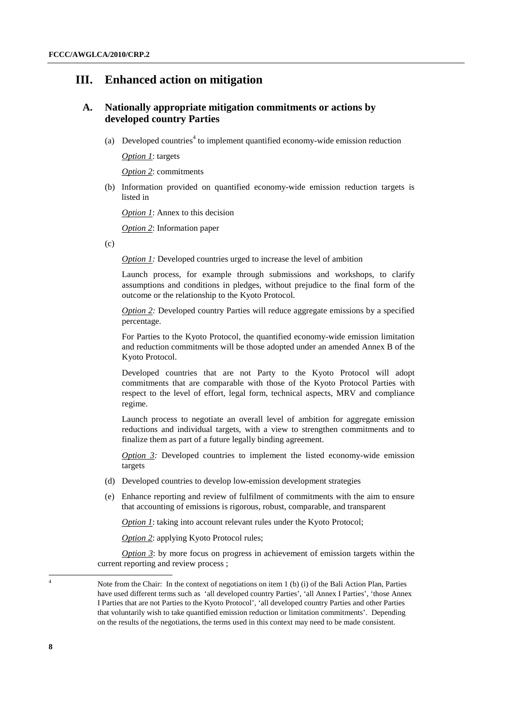## **III. Enhanced action on mitigation**

### **A. Nationally appropriate mitigation commitments or actions by developed country Parties**

(a) Developed countries<sup>4</sup> to implement quantified economy-wide emission reduction

 *Option 1*: targets

 *Option 2*: commitments

(b) Information provided on quantified economy-wide emission reduction targets is listed in

 *Option 1*: Annex to this decision

 *Option 2*: Information paper

 $(c)$ 

*Option 1: Developed countries urged to increase the level of ambition* 

Launch process, for example through submissions and workshops, to clarify assumptions and conditions in pledges, without prejudice to the final form of the outcome or the relationship to the Kyoto Protocol.

*Option 2:* Developed country Parties will reduce aggregate emissions by a specified percentage.

For Parties to the Kyoto Protocol, the quantified economy-wide emission limitation and reduction commitments will be those adopted under an amended Annex B of the Kyoto Protocol.

Developed countries that are not Party to the Kyoto Protocol will adopt commitments that are comparable with those of the Kyoto Protocol Parties with respect to the level of effort, legal form, technical aspects, MRV and compliance regime.

Launch process to negotiate an overall level of ambition for aggregate emission reductions and individual targets, with a view to strengthen commitments and to finalize them as part of a future legally binding agreement.

*Option 3:* Developed countries to implement the listed economy-wide emission targets

- (d) Developed countries to develop low-emission development strategies
- (e) Enhance reporting and review of fulfilment of commitments with the aim to ensure that accounting of emissions is rigorous, robust, comparable, and transparent

*Option 1:* taking into account relevant rules under the Kyoto Protocol;

*Option 2: applying Kyoto Protocol rules;* 

 *Option 3*: by more focus on progress in achievement of emission targets within the current reporting and review process ;

4

Note from the Chair: In the context of negotiations on item 1 (b) (i) of the Bali Action Plan, Parties have used different terms such as 'all developed country Parties', 'all Annex I Parties', 'those Annex I Parties that are not Parties to the Kyoto Protocol', 'all developed country Parties and other Parties that voluntarily wish to take quantified emission reduction or limitation commitments'. Depending on the results of the negotiations, the terms used in this context may need to be made consistent.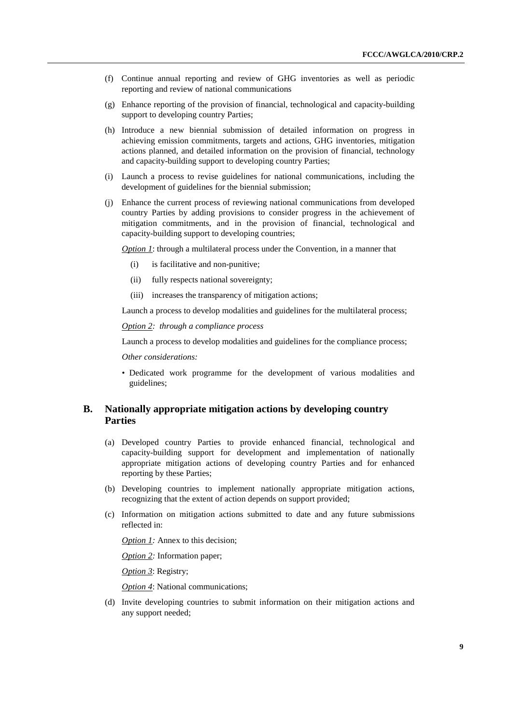- (f) Continue annual reporting and review of GHG inventories as well as periodic reporting and review of national communications
- (g) Enhance reporting of the provision of financial, technological and capacity-building support to developing country Parties;
- (h) Introduce a new biennial submission of detailed information on progress in achieving emission commitments, targets and actions, GHG inventories, mitigation actions planned, and detailed information on the provision of financial, technology and capacity-building support to developing country Parties;
- (i) Launch a process to revise guidelines for national communications, including the development of guidelines for the biennial submission;
- (j) Enhance the current process of reviewing national communications from developed country Parties by adding provisions to consider progress in the achievement of mitigation commitments, and in the provision of financial, technological and capacity-building support to developing countries;

*Option 1*: through a multilateral process under the Convention, in a manner that

- (i) is facilitative and non-punitive;
- (ii) fully respects national sovereignty;
- (iii) increases the transparency of mitigation actions;

Launch a process to develop modalities and guidelines for the multilateral process;

 *Option 2: through a compliance process* 

Launch a process to develop modalities and guidelines for the compliance process;

 *Other considerations:* 

• Dedicated work programme for the development of various modalities and guidelines;

### **B. Nationally appropriate mitigation actions by developing country Parties**

- (a) Developed country Parties to provide enhanced financial, technological and capacity-building support for development and implementation of nationally appropriate mitigation actions of developing country Parties and for enhanced reporting by these Parties;
- (b) Developing countries to implement nationally appropriate mitigation actions, recognizing that the extent of action depends on support provided;
- (c) Information on mitigation actions submitted to date and any future submissions reflected in:

*Option 1:* Annex to this decision;

 *Option 2:* Information paper;

 *Option 3*: Registry;

 *Option 4*: National communications;

(d) Invite developing countries to submit information on their mitigation actions and any support needed;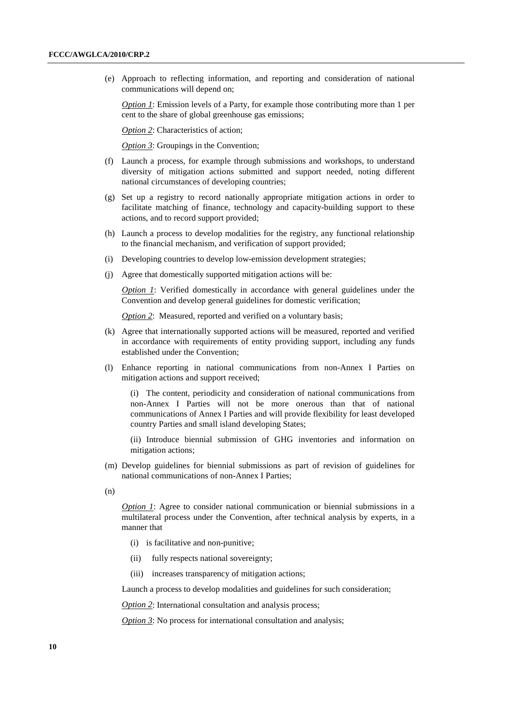(e) Approach to reflecting information, and reporting and consideration of national communications will depend on;

*Option 1:* Emission levels of a Party, for example those contributing more than 1 per cent to the share of global greenhouse gas emissions;

 *Option 2*: Characteristics of action;

*Option 3: Groupings in the Convention;* 

- (f) Launch a process, for example through submissions and workshops, to understand diversity of mitigation actions submitted and support needed, noting different national circumstances of developing countries;
- (g) Set up a registry to record nationally appropriate mitigation actions in order to facilitate matching of finance, technology and capacity-building support to these actions, and to record support provided;
- (h) Launch a process to develop modalities for the registry, any functional relationship to the financial mechanism, and verification of support provided;
- (i) Developing countries to develop low-emission development strategies;
- (j) Agree that domestically supported mitigation actions will be:

*<i>Option 1*: Verified domestically in accordance with general guidelines under the Convention and develop general guidelines for domestic verification;

*<i>Option 2*: Measured, reported and verified on a voluntary basis:

- (k) Agree that internationally supported actions will be measured, reported and verified in accordance with requirements of entity providing support, including any funds established under the Convention;
- (l) Enhance reporting in national communications from non-Annex I Parties on mitigation actions and support received;

(i) The content, periodicity and consideration of national communications from non-Annex I Parties will not be more onerous than that of national communications of Annex I Parties and will provide flexibility for least developed country Parties and small island developing States;

(ii) Introduce biennial submission of GHG inventories and information on mitigation actions;

(m) Develop guidelines for biennial submissions as part of revision of guidelines for national communications of non-Annex I Parties;

(n)

*Option 1:* Agree to consider national communication or biennial submissions in a multilateral process under the Convention, after technical analysis by experts, in a manner that

- (i) is facilitative and non-punitive;
- (ii) fully respects national sovereignty;
- (iii) increases transparency of mitigation actions;

Launch a process to develop modalities and guidelines for such consideration;

*Option 2:* International consultation and analysis process;

*Option 3:* No process for international consultation and analysis;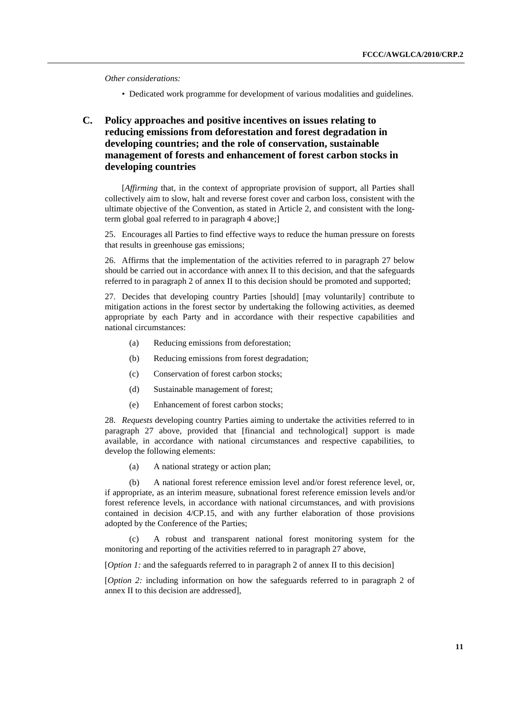*Other considerations:* 

- Dedicated work programme for development of various modalities and guidelines.
- **C. Policy approaches and positive incentives on issues relating to reducing emissions from deforestation and forest degradation in developing countries; and the role of conservation, sustainable management of forests and enhancement of forest carbon stocks in developing countries**

 [*Affirming* that, in the context of appropriate provision of support, all Parties shall collectively aim to slow, halt and reverse forest cover and carbon loss, consistent with the ultimate objective of the Convention, as stated in Article 2, and consistent with the longterm global goal referred to in paragraph 4 above;]

25. Encourages all Parties to find effective ways to reduce the human pressure on forests that results in greenhouse gas emissions;

26. Affirms that the implementation of the activities referred to in paragraph 27 below should be carried out in accordance with annex II to this decision, and that the safeguards referred to in paragraph 2 of annex II to this decision should be promoted and supported;

27. Decides that developing country Parties [should] [may voluntarily] contribute to mitigation actions in the forest sector by undertaking the following activities, as deemed appropriate by each Party and in accordance with their respective capabilities and national circumstances:

- (a) Reducing emissions from deforestation;
- (b) Reducing emissions from forest degradation;
- (c) Conservation of forest carbon stocks;
- (d) Sustainable management of forest;
- (e) Enhancement of forest carbon stocks;

28. *Requests* developing country Parties aiming to undertake the activities referred to in paragraph 27 above, provided that [financial and technological] support is made available, in accordance with national circumstances and respective capabilities, to develop the following elements:

(a) A national strategy or action plan;

(b) A national forest reference emission level and/or forest reference level, or, if appropriate, as an interim measure, subnational forest reference emission levels and/or forest reference levels, in accordance with national circumstances, and with provisions contained in decision 4/CP.15, and with any further elaboration of those provisions adopted by the Conference of the Parties;

(c) A robust and transparent national forest monitoring system for the monitoring and reporting of the activities referred to in paragraph 27 above,

[*Option 1*: and the safeguards referred to in paragraph 2 of annex II to this decision]

[*Option 2:* including information on how the safeguards referred to in paragraph 2 of annex II to this decision are addressed],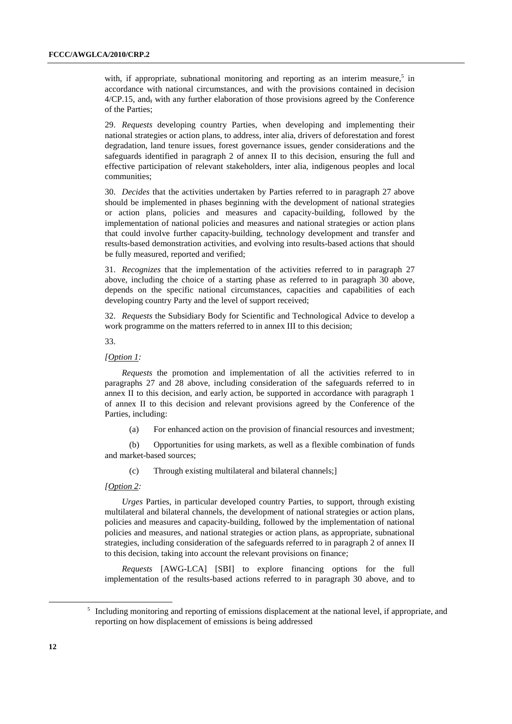with, if appropriate, subnational monitoring and reporting as an interim measure,<sup>5</sup> in accordance with national circumstances, and with the provisions contained in decision 4/CP.15, and, with any further elaboration of those provisions agreed by the Conference of the Parties;

29. *Requests* developing country Parties, when developing and implementing their national strategies or action plans, to address, inter alia, drivers of deforestation and forest degradation, land tenure issues, forest governance issues, gender considerations and the safeguards identified in paragraph 2 of annex II to this decision, ensuring the full and effective participation of relevant stakeholders, inter alia, indigenous peoples and local communities;

30. *Decides* that the activities undertaken by Parties referred to in paragraph 27 above should be implemented in phases beginning with the development of national strategies or action plans, policies and measures and capacity-building, followed by the implementation of national policies and measures and national strategies or action plans that could involve further capacity-building, technology development and transfer and results-based demonstration activities, and evolving into results-based actions that should be fully measured, reported and verified;

31. *Recognizes* that the implementation of the activities referred to in paragraph 27 above, including the choice of a starting phase as referred to in paragraph 30 above, depends on the specific national circumstances, capacities and capabilities of each developing country Party and the level of support received;

32. *Requests* the Subsidiary Body for Scientific and Technological Advice to develop a work programme on the matters referred to in annex III to this decision;

33.

### *[Option 1:*

*Requests* the promotion and implementation of all the activities referred to in paragraphs 27 and 28 above, including consideration of the safeguards referred to in annex II to this decision, and early action, be supported in accordance with paragraph 1 of annex II to this decision and relevant provisions agreed by the Conference of the Parties, including:

(a) For enhanced action on the provision of financial resources and investment;

(b) Opportunities for using markets, as well as a flexible combination of funds and market-based sources;

(c) Through existing multilateral and bilateral channels;]

#### *[Option 2:*

*Urges* Parties, in particular developed country Parties, to support, through existing multilateral and bilateral channels, the development of national strategies or action plans, policies and measures and capacity-building, followed by the implementation of national policies and measures, and national strategies or action plans, as appropriate, subnational strategies, including consideration of the safeguards referred to in paragraph 2 of annex II to this decision, taking into account the relevant provisions on finance;

*Requests* [AWG-LCA] [SBI] to explore financing options for the full implementation of the results-based actions referred to in paragraph 30 above, and to

 $\frac{1}{5}$ <sup>5</sup> Including monitoring and reporting of emissions displacement at the national level, if appropriate, and reporting on how displacement of emissions is being addressed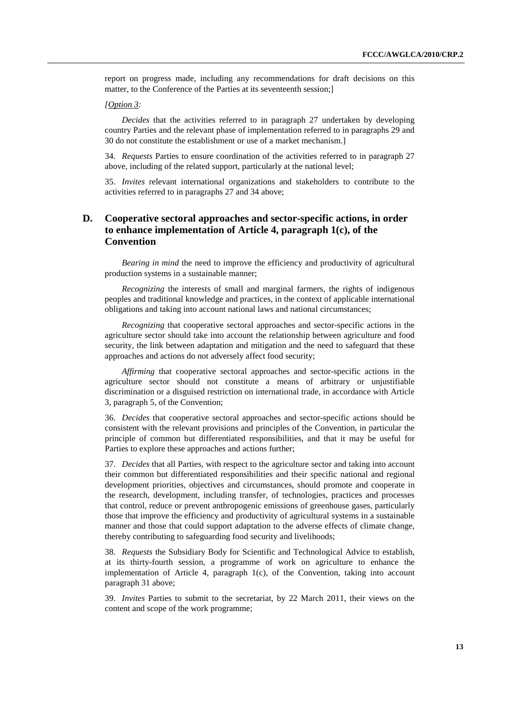report on progress made, including any recommendations for draft decisions on this matter, to the Conference of the Parties at its seventeenth session;]

#### *[Option 3:*

*Decides* that the activities referred to in paragraph 27 undertaken by developing country Parties and the relevant phase of implementation referred to in paragraphs 29 and 30 do not constitute the establishment or use of a market mechanism.]

34. *Requests* Parties to ensure coordination of the activities referred to in paragraph 27 above, including of the related support, particularly at the national level;

35. *Invites* relevant international organizations and stakeholders to contribute to the activities referred to in paragraphs 27 and 34 above;

### **D. Cooperative sectoral approaches and sector-specific actions, in order to enhance implementation of Article 4, paragraph 1(c), of the Convention**

*Bearing in mind* the need to improve the efficiency and productivity of agricultural production systems in a sustainable manner;

*Recognizing* the interests of small and marginal farmers, the rights of indigenous peoples and traditional knowledge and practices, in the context of applicable international obligations and taking into account national laws and national circumstances;

*Recognizing* that cooperative sectoral approaches and sector-specific actions in the agriculture sector should take into account the relationship between agriculture and food security, the link between adaptation and mitigation and the need to safeguard that these approaches and actions do not adversely affect food security;

*Affirming* that cooperative sectoral approaches and sector-specific actions in the agriculture sector should not constitute a means of arbitrary or unjustifiable discrimination or a disguised restriction on international trade, in accordance with Article 3, paragraph 5, of the Convention;

36. *Decides* that cooperative sectoral approaches and sector-specific actions should be consistent with the relevant provisions and principles of the Convention, in particular the principle of common but differentiated responsibilities, and that it may be useful for Parties to explore these approaches and actions further;

37. *Decides* that all Parties, with respect to the agriculture sector and taking into account their common but differentiated responsibilities and their specific national and regional development priorities, objectives and circumstances, should promote and cooperate in the research, development, including transfer, of technologies, practices and processes that control, reduce or prevent anthropogenic emissions of greenhouse gases, particularly those that improve the efficiency and productivity of agricultural systems in a sustainable manner and those that could support adaptation to the adverse effects of climate change, thereby contributing to safeguarding food security and livelihoods;

38. *Requests* the Subsidiary Body for Scientific and Technological Advice to establish, at its thirty-fourth session, a programme of work on agriculture to enhance the implementation of Article 4, paragraph  $1(c)$ , of the Convention, taking into account paragraph 31 above;

39. *Invites* Parties to submit to the secretariat, by 22 March 2011, their views on the content and scope of the work programme;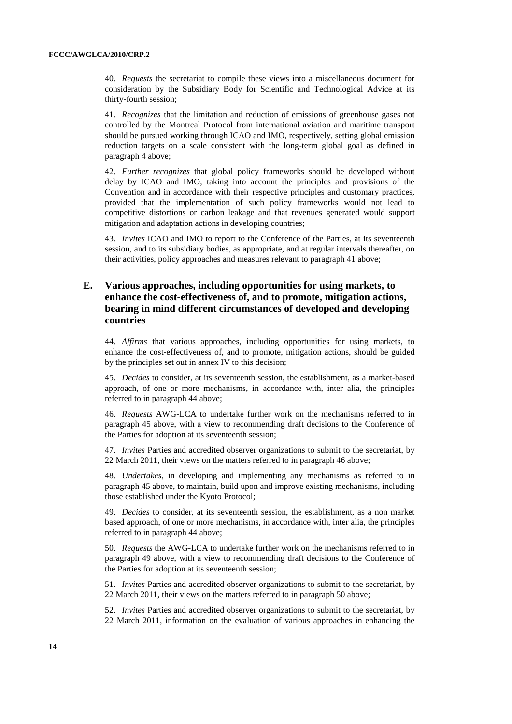40. *Requests* the secretariat to compile these views into a miscellaneous document for consideration by the Subsidiary Body for Scientific and Technological Advice at its thirty-fourth session;

41. *Recognizes* that the limitation and reduction of emissions of greenhouse gases not controlled by the Montreal Protocol from international aviation and maritime transport should be pursued working through ICAO and IMO, respectively, setting global emission reduction targets on a scale consistent with the long-term global goal as defined in paragraph 4 above;

42. *Further recognizes* that global policy frameworks should be developed without delay by ICAO and IMO, taking into account the principles and provisions of the Convention and in accordance with their respective principles and customary practices, provided that the implementation of such policy frameworks would not lead to competitive distortions or carbon leakage and that revenues generated would support mitigation and adaptation actions in developing countries;

43. *Invites* ICAO and IMO to report to the Conference of the Parties, at its seventeenth session, and to its subsidiary bodies, as appropriate, and at regular intervals thereafter, on their activities, policy approaches and measures relevant to paragraph 41 above;

## **E. Various approaches, including opportunities for using markets, to enhance the cost-effectiveness of, and to promote, mitigation actions, bearing in mind different circumstances of developed and developing countries**

44. *Affirms* that various approaches, including opportunities for using markets, to enhance the cost-effectiveness of, and to promote, mitigation actions, should be guided by the principles set out in annex IV to this decision;

45. *Decides* to consider, at its seventeenth session, the establishment, as a market-based approach, of one or more mechanisms, in accordance with, inter alia, the principles referred to in paragraph 44 above;

46. *Requests* AWG-LCA to undertake further work on the mechanisms referred to in paragraph 45 above, with a view to recommending draft decisions to the Conference of the Parties for adoption at its seventeenth session;

47. *Invites* Parties and accredited observer organizations to submit to the secretariat, by 22 March 2011, their views on the matters referred to in paragraph 46 above;

48. *Undertakes*, in developing and implementing any mechanisms as referred to in paragraph 45 above, to maintain, build upon and improve existing mechanisms, including those established under the Kyoto Protocol;

49. *Decides* to consider, at its seventeenth session, the establishment, as a non market based approach, of one or more mechanisms, in accordance with, inter alia, the principles referred to in paragraph 44 above;

50. *Requests* the AWG-LCA to undertake further work on the mechanisms referred to in paragraph 49 above, with a view to recommending draft decisions to the Conference of the Parties for adoption at its seventeenth session;

51. *Invites* Parties and accredited observer organizations to submit to the secretariat, by 22 March 2011, their views on the matters referred to in paragraph 50 above;

52. *Invites* Parties and accredited observer organizations to submit to the secretariat, by 22 March 2011, information on the evaluation of various approaches in enhancing the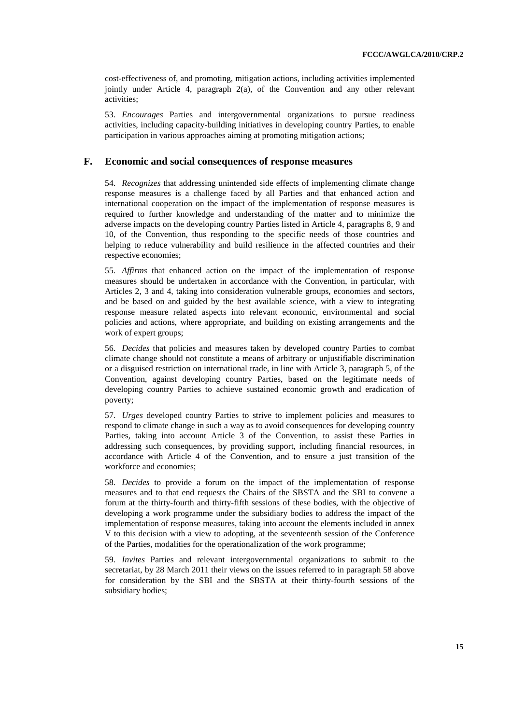cost-effectiveness of, and promoting, mitigation actions, including activities implemented jointly under Article 4, paragraph 2(a), of the Convention and any other relevant activities;

53. *Encourages* Parties and intergovernmental organizations to pursue readiness activities, including capacity-building initiatives in developing country Parties, to enable participation in various approaches aiming at promoting mitigation actions;

#### **F. Economic and social consequences of response measures**

54. *Recognizes* that addressing unintended side effects of implementing climate change response measures is a challenge faced by all Parties and that enhanced action and international cooperation on the impact of the implementation of response measures is required to further knowledge and understanding of the matter and to minimize the adverse impacts on the developing country Parties listed in Article 4, paragraphs 8, 9 and 10, of the Convention, thus responding to the specific needs of those countries and helping to reduce vulnerability and build resilience in the affected countries and their respective economies;

55. *Affirms* that enhanced action on the impact of the implementation of response measures should be undertaken in accordance with the Convention, in particular, with Articles 2, 3 and 4, taking into consideration vulnerable groups, economies and sectors, and be based on and guided by the best available science, with a view to integrating response measure related aspects into relevant economic, environmental and social policies and actions, where appropriate, and building on existing arrangements and the work of expert groups;

56. *Decides* that policies and measures taken by developed country Parties to combat climate change should not constitute a means of arbitrary or unjustifiable discrimination or a disguised restriction on international trade, in line with Article 3, paragraph 5, of the Convention, against developing country Parties, based on the legitimate needs of developing country Parties to achieve sustained economic growth and eradication of poverty;

57. *Urges* developed country Parties to strive to implement policies and measures to respond to climate change in such a way as to avoid consequences for developing country Parties, taking into account Article 3 of the Convention, to assist these Parties in addressing such consequences, by providing support, including financial resources, in accordance with Article 4 of the Convention, and to ensure a just transition of the workforce and economies;

58. *Decides* to provide a forum on the impact of the implementation of response measures and to that end requests the Chairs of the SBSTA and the SBI to convene a forum at the thirty-fourth and thirty-fifth sessions of these bodies, with the objective of developing a work programme under the subsidiary bodies to address the impact of the implementation of response measures, taking into account the elements included in annex V to this decision with a view to adopting, at the seventeenth session of the Conference of the Parties, modalities for the operationalization of the work programme;

59. *Invites* Parties and relevant intergovernmental organizations to submit to the secretariat, by 28 March 2011 their views on the issues referred to in paragraph 58 above for consideration by the SBI and the SBSTA at their thirty-fourth sessions of the subsidiary bodies;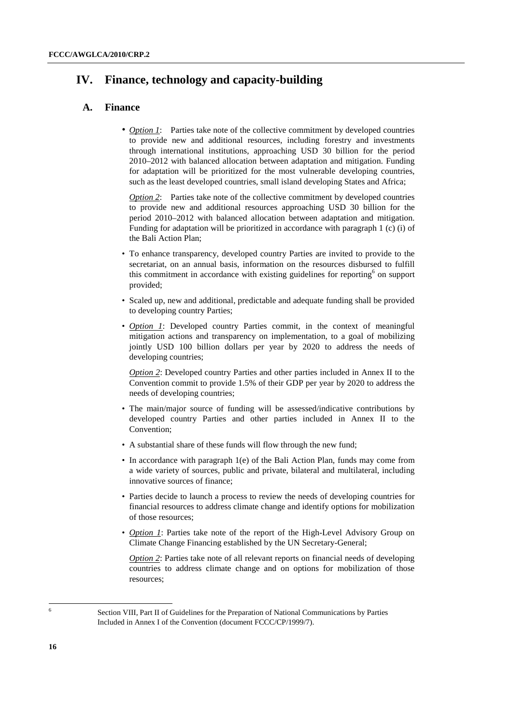# **IV. Finance, technology and capacity-building**

### **A. Finance**

• *Option 1*: Parties take note of the collective commitment by developed countries to provide new and additional resources, including forestry and investments through international institutions, approaching USD 30 billion for the period 2010–2012 with balanced allocation between adaptation and mitigation. Funding for adaptation will be prioritized for the most vulnerable developing countries, such as the least developed countries, small island developing States and Africa;

*Option 2*: Parties take note of the collective commitment by developed countries to provide new and additional resources approaching USD 30 billion for the period 2010–2012 with balanced allocation between adaptation and mitigation. Funding for adaptation will be prioritized in accordance with paragraph 1 (c) (i) of the Bali Action Plan;

- To enhance transparency, developed country Parties are invited to provide to the secretariat, on an annual basis, information on the resources disbursed to fulfill this commitment in accordance with existing guidelines for reporting  $6$  on support provided;
- Scaled up, new and additional, predictable and adequate funding shall be provided to developing country Parties;
- *Option 1*: Developed country Parties commit, in the context of meaningful mitigation actions and transparency on implementation, to a goal of mobilizing jointly USD 100 billion dollars per year by 2020 to address the needs of developing countries;

*Option 2*: Developed country Parties and other parties included in Annex II to the Convention commit to provide 1.5% of their GDP per year by 2020 to address the needs of developing countries;

- The main/major source of funding will be assessed/indicative contributions by developed country Parties and other parties included in Annex II to the Convention;
- A substantial share of these funds will flow through the new fund;
- In accordance with paragraph 1(e) of the Bali Action Plan, funds may come from a wide variety of sources, public and private, bilateral and multilateral, including innovative sources of finance;
- Parties decide to launch a process to review the needs of developing countries for financial resources to address climate change and identify options for mobilization of those resources;
- *Option 1*: Parties take note of the report of the High-Level Advisory Group on Climate Change Financing established by the UN Secretary-General;

*Option 2*: Parties take note of all relevant reports on financial needs of developing countries to address climate change and on options for mobilization of those resources;

 $\overline{a}$ 6

Section VIII, Part II of Guidelines for the Preparation of National Communications by Parties Included in Annex I of the Convention (document FCCC/CP/1999/7).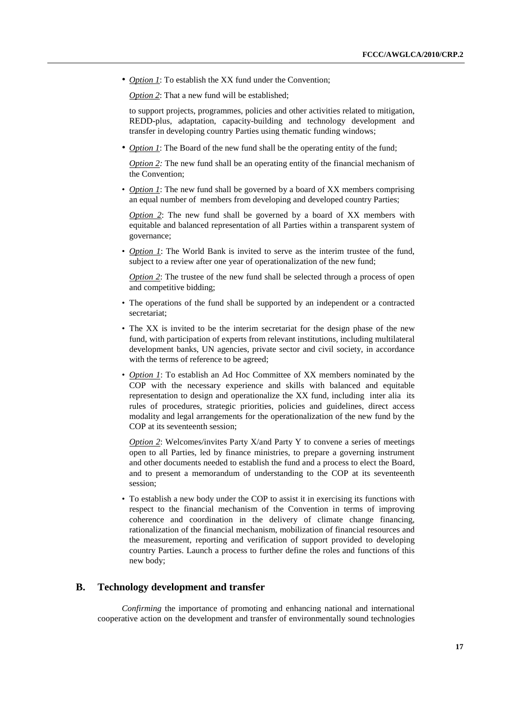• *Option 1*: To establish the XX fund under the Convention;

*Option 2*: That a new fund will be established;

to support projects, programmes, policies and other activities related to mitigation, REDD-plus, adaptation, capacity-building and technology development and transfer in developing country Parties using thematic funding windows;

• *Option 1*: The Board of the new fund shall be the operating entity of the fund;

*Option 2:* The new fund shall be an operating entity of the financial mechanism of the Convention;

• *Option 1*: The new fund shall be governed by a board of XX members comprising an equal number of members from developing and developed country Parties;

*Option 2*: The new fund shall be governed by a board of XX members with equitable and balanced representation of all Parties within a transparent system of governance;

• *Option 1*: The World Bank is invited to serve as the interim trustee of the fund, subject to a review after one year of operationalization of the new fund;

*Option 2*: The trustee of the new fund shall be selected through a process of open and competitive bidding;

- The operations of the fund shall be supported by an independent or a contracted secretariat;
- The XX is invited to be the interim secretariat for the design phase of the new fund, with participation of experts from relevant institutions, including multilateral development banks, UN agencies, private sector and civil society, in accordance with the terms of reference to be agreed;
- *Option 1*: To establish an Ad Hoc Committee of XX members nominated by the COP with the necessary experience and skills with balanced and equitable representation to design and operationalize the XX fund, including inter alia its rules of procedures, strategic priorities, policies and guidelines, direct access modality and legal arrangements for the operationalization of the new fund by the COP at its seventeenth session;

*Option 2:* Welcomes/invites Party X/and Party Y to convene a series of meetings open to all Parties, led by finance ministries, to prepare a governing instrument and other documents needed to establish the fund and a process to elect the Board, and to present a memorandum of understanding to the COP at its seventeenth session;

• To establish a new body under the COP to assist it in exercising its functions with respect to the financial mechanism of the Convention in terms of improving coherence and coordination in the delivery of climate change financing, rationalization of the financial mechanism, mobilization of financial resources and the measurement, reporting and verification of support provided to developing country Parties. Launch a process to further define the roles and functions of this new body;

### **B. Technology development and transfer**

 *Confirming* the importance of promoting and enhancing national and international cooperative action on the development and transfer of environmentally sound technologies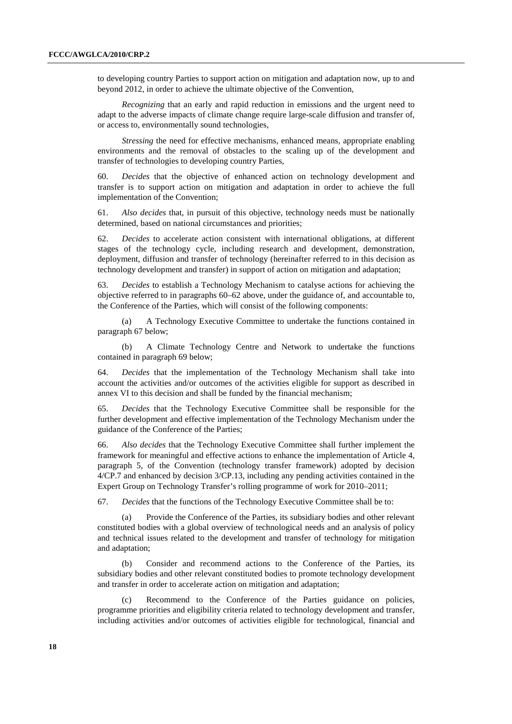to developing country Parties to support action on mitigation and adaptation now, up to and beyond 2012, in order to achieve the ultimate objective of the Convention,

 *Recognizing* that an early and rapid reduction in emissions and the urgent need to adapt to the adverse impacts of climate change require large-scale diffusion and transfer of, or access to, environmentally sound technologies,

*Stressing* the need for effective mechanisms, enhanced means, appropriate enabling environments and the removal of obstacles to the scaling up of the development and transfer of technologies to developing country Parties,

60. *Decides* that the objective of enhanced action on technology development and transfer is to support action on mitigation and adaptation in order to achieve the full implementation of the Convention;

61. *Also decides* that, in pursuit of this objective, technology needs must be nationally determined, based on national circumstances and priorities;

62. *Decides* to accelerate action consistent with international obligations, at different stages of the technology cycle, including research and development, demonstration, deployment, diffusion and transfer of technology (hereinafter referred to in this decision as technology development and transfer) in support of action on mitigation and adaptation;

63. *Decides* to establish a Technology Mechanism to catalyse actions for achieving the objective referred to in paragraphs 60–62 above, under the guidance of, and accountable to, the Conference of the Parties, which will consist of the following components:

(a) A Technology Executive Committee to undertake the functions contained in paragraph 67 below;

(b) A Climate Technology Centre and Network to undertake the functions contained in paragraph 69 below;

64. *Decides* that the implementation of the Technology Mechanism shall take into account the activities and/or outcomes of the activities eligible for support as described in annex VI to this decision and shall be funded by the financial mechanism;

65. *Decides* that the Technology Executive Committee shall be responsible for the further development and effective implementation of the Technology Mechanism under the guidance of the Conference of the Parties;

66. *Also decides* that the Technology Executive Committee shall further implement the framework for meaningful and effective actions to enhance the implementation of Article 4, paragraph 5, of the Convention (technology transfer framework) adopted by decision 4/CP.7 and enhanced by decision 3/CP.13, including any pending activities contained in the Expert Group on Technology Transfer's rolling programme of work for 2010–2011;

67. *Decides* that the functions of the Technology Executive Committee shall be to:

 (a) Provide the Conference of the Parties, its subsidiary bodies and other relevant constituted bodies with a global overview of technological needs and an analysis of policy and technical issues related to the development and transfer of technology for mitigation and adaptation;

 (b) Consider and recommend actions to the Conference of the Parties, its subsidiary bodies and other relevant constituted bodies to promote technology development and transfer in order to accelerate action on mitigation and adaptation;

 (c) Recommend to the Conference of the Parties guidance on policies, programme priorities and eligibility criteria related to technology development and transfer, including activities and/or outcomes of activities eligible for technological, financial and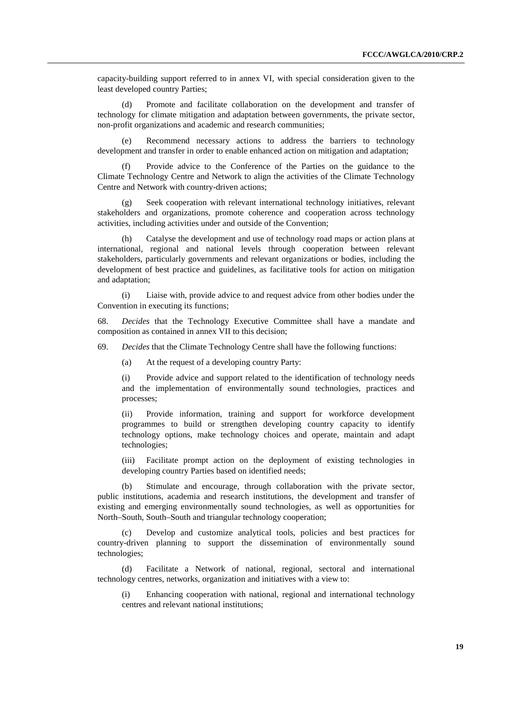capacity-building support referred to in annex VI, with special consideration given to the least developed country Parties;

 (d) Promote and facilitate collaboration on the development and transfer of technology for climate mitigation and adaptation between governments, the private sector, non-profit organizations and academic and research communities;

 (e) Recommend necessary actions to address the barriers to technology development and transfer in order to enable enhanced action on mitigation and adaptation;

Provide advice to the Conference of the Parties on the guidance to the Climate Technology Centre and Network to align the activities of the Climate Technology Centre and Network with country-driven actions;

 (g) Seek cooperation with relevant international technology initiatives, relevant stakeholders and organizations, promote coherence and cooperation across technology activities, including activities under and outside of the Convention;

 (h) Catalyse the development and use of technology road maps or action plans at international, regional and national levels through cooperation between relevant stakeholders, particularly governments and relevant organizations or bodies, including the development of best practice and guidelines, as facilitative tools for action on mitigation and adaptation;

 (i) Liaise with, provide advice to and request advice from other bodies under the Convention in executing its functions;

68. *Decides* that the Technology Executive Committee shall have a mandate and composition as contained in annex VII to this decision;

69. *Decides* that the Climate Technology Centre shall have the following functions:

(a) At the request of a developing country Party:

(i) Provide advice and support related to the identification of technology needs and the implementation of environmentally sound technologies, practices and processes;

(ii) Provide information, training and support for workforce development programmes to build or strengthen developing country capacity to identify technology options, make technology choices and operate, maintain and adapt technologies;

(iii) Facilitate prompt action on the deployment of existing technologies in developing country Parties based on identified needs;

 (b) Stimulate and encourage, through collaboration with the private sector, public institutions, academia and research institutions, the development and transfer of existing and emerging environmentally sound technologies, as well as opportunities for North–South, South–South and triangular technology cooperation;

Develop and customize analytical tools, policies and best practices for country-driven planning to support the dissemination of environmentally sound technologies;

 (d) Facilitate a Network of national, regional, sectoral and international technology centres, networks, organization and initiatives with a view to:

(i) Enhancing cooperation with national, regional and international technology centres and relevant national institutions;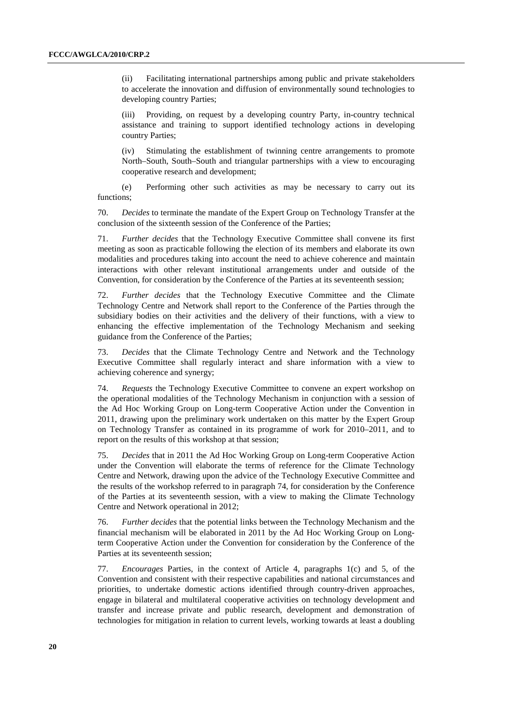(ii) Facilitating international partnerships among public and private stakeholders to accelerate the innovation and diffusion of environmentally sound technologies to developing country Parties;

(iii) Providing, on request by a developing country Party, in-country technical assistance and training to support identified technology actions in developing country Parties;

(iv) Stimulating the establishment of twinning centre arrangements to promote North–South, South–South and triangular partnerships with a view to encouraging cooperative research and development;

 (e) Performing other such activities as may be necessary to carry out its functions;

70. *Decides* to terminate the mandate of the Expert Group on Technology Transfer at the conclusion of the sixteenth session of the Conference of the Parties;

71. *Further decides* that the Technology Executive Committee shall convene its first meeting as soon as practicable following the election of its members and elaborate its own modalities and procedures taking into account the need to achieve coherence and maintain interactions with other relevant institutional arrangements under and outside of the Convention, for consideration by the Conference of the Parties at its seventeenth session;

72. *Further decides* that the Technology Executive Committee and the Climate Technology Centre and Network shall report to the Conference of the Parties through the subsidiary bodies on their activities and the delivery of their functions, with a view to enhancing the effective implementation of the Technology Mechanism and seeking guidance from the Conference of the Parties;

73. *Decides* that the Climate Technology Centre and Network and the Technology Executive Committee shall regularly interact and share information with a view to achieving coherence and synergy;

74. *Requests* the Technology Executive Committee to convene an expert workshop on the operational modalities of the Technology Mechanism in conjunction with a session of the Ad Hoc Working Group on Long-term Cooperative Action under the Convention in 2011, drawing upon the preliminary work undertaken on this matter by the Expert Group on Technology Transfer as contained in its programme of work for 2010–2011, and to report on the results of this workshop at that session;

75. *Decides* that in 2011 the Ad Hoc Working Group on Long-term Cooperative Action under the Convention will elaborate the terms of reference for the Climate Technology Centre and Network, drawing upon the advice of the Technology Executive Committee and the results of the workshop referred to in paragraph 74, for consideration by the Conference of the Parties at its seventeenth session, with a view to making the Climate Technology Centre and Network operational in 2012;

76. *Further decides* that the potential links between the Technology Mechanism and the financial mechanism will be elaborated in 2011 by the Ad Hoc Working Group on Longterm Cooperative Action under the Convention for consideration by the Conference of the Parties at its seventeenth session;

77. *Encourages* Parties, in the context of Article 4, paragraphs 1(c) and 5, of the Convention and consistent with their respective capabilities and national circumstances and priorities, to undertake domestic actions identified through country-driven approaches, engage in bilateral and multilateral cooperative activities on technology development and transfer and increase private and public research, development and demonstration of technologies for mitigation in relation to current levels, working towards at least a doubling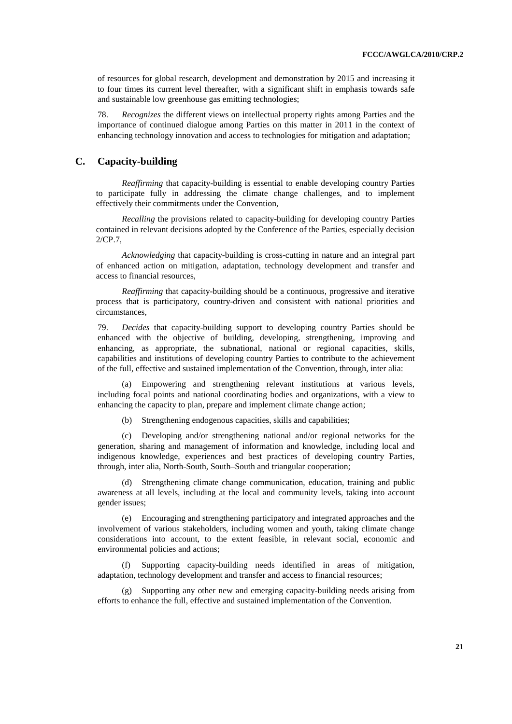of resources for global research, development and demonstration by 2015 and increasing it to four times its current level thereafter, with a significant shift in emphasis towards safe and sustainable low greenhouse gas emitting technologies;

78. *Recognizes* the different views on intellectual property rights among Parties and the importance of continued dialogue among Parties on this matter in 2011 in the context of enhancing technology innovation and access to technologies for mitigation and adaptation;

### **C. Capacity-building**

 *Reaffirming* that capacity-building is essential to enable developing country Parties to participate fully in addressing the climate change challenges, and to implement effectively their commitments under the Convention,

 *Recalling* the provisions related to capacity-building for developing country Parties contained in relevant decisions adopted by the Conference of the Parties, especially decision 2/CP.7,

 *Acknowledging* that capacity-building is cross-cutting in nature and an integral part of enhanced action on mitigation, adaptation, technology development and transfer and access to financial resources,

 *Reaffirming* that capacity-building should be a continuous, progressive and iterative process that is participatory, country-driven and consistent with national priorities and circumstances,

79. *Decides* that capacity-building support to developing country Parties should be enhanced with the objective of building, developing, strengthening, improving and enhancing, as appropriate, the subnational, national or regional capacities, skills, capabilities and institutions of developing country Parties to contribute to the achievement of the full, effective and sustained implementation of the Convention, through, inter alia:

Empowering and strengthening relevant institutions at various levels, including focal points and national coordinating bodies and organizations, with a view to enhancing the capacity to plan, prepare and implement climate change action;

(b) Strengthening endogenous capacities, skills and capabilities;

(c) Developing and/or strengthening national and/or regional networks for the generation, sharing and management of information and knowledge, including local and indigenous knowledge, experiences and best practices of developing country Parties, through, inter alia, North-South, South–South and triangular cooperation;

(d) Strengthening climate change communication, education, training and public awareness at all levels, including at the local and community levels, taking into account gender issues;

(e) Encouraging and strengthening participatory and integrated approaches and the involvement of various stakeholders, including women and youth, taking climate change considerations into account, to the extent feasible, in relevant social, economic and environmental policies and actions;

(f) Supporting capacity-building needs identified in areas of mitigation, adaptation, technology development and transfer and access to financial resources;

(g) Supporting any other new and emerging capacity-building needs arising from efforts to enhance the full, effective and sustained implementation of the Convention.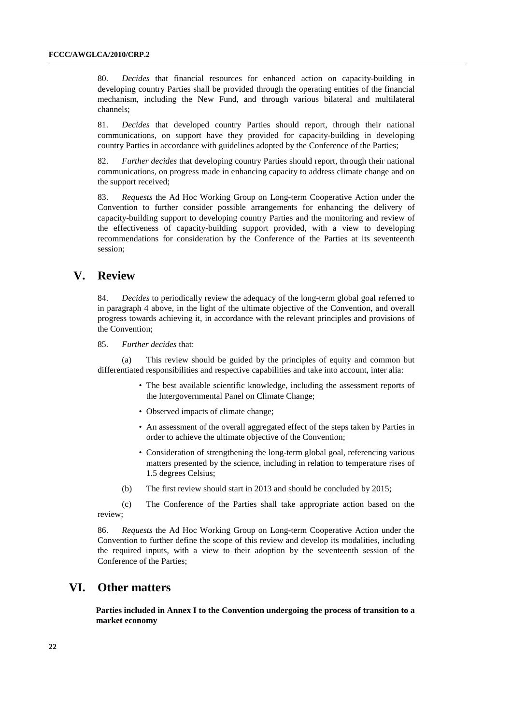80. *Decides* that financial resources for enhanced action on capacity-building in developing country Parties shall be provided through the operating entities of the financial mechanism, including the New Fund, and through various bilateral and multilateral channels;

81. *Decides* that developed country Parties should report, through their national communications, on support have they provided for capacity-building in developing country Parties in accordance with guidelines adopted by the Conference of the Parties;

82. *Further decides* that developing country Parties should report, through their national communications, on progress made in enhancing capacity to address climate change and on the support received;

83. *Requests* the Ad Hoc Working Group on Long-term Cooperative Action under the Convention to further consider possible arrangements for enhancing the delivery of capacity-building support to developing country Parties and the monitoring and review of the effectiveness of capacity-building support provided, with a view to developing recommendations for consideration by the Conference of the Parties at its seventeenth session;

# **V. Review**

84. *Decides* to periodically review the adequacy of the long-term global goal referred to in paragraph 4 above, in the light of the ultimate objective of the Convention, and overall progress towards achieving it, in accordance with the relevant principles and provisions of the Convention;

85. *Further decides* that:

(a) This review should be guided by the principles of equity and common but differentiated responsibilities and respective capabilities and take into account, inter alia:

- The best available scientific knowledge, including the assessment reports of the Intergovernmental Panel on Climate Change;
- Observed impacts of climate change;
- An assessment of the overall aggregated effect of the steps taken by Parties in order to achieve the ultimate objective of the Convention;
- Consideration of strengthening the long-term global goal, referencing various matters presented by the science, including in relation to temperature rises of 1.5 degrees Celsius;
- (b) The first review should start in 2013 and should be concluded by 2015;

(c) The Conference of the Parties shall take appropriate action based on the review;

86. *Requests* the Ad Hoc Working Group on Long-term Cooperative Action under the Convention to further define the scope of this review and develop its modalities, including the required inputs, with a view to their adoption by the seventeenth session of the Conference of the Parties;

# **VI. Other matters**

**Parties included in Annex I to the Convention undergoing the process of transition to a market economy**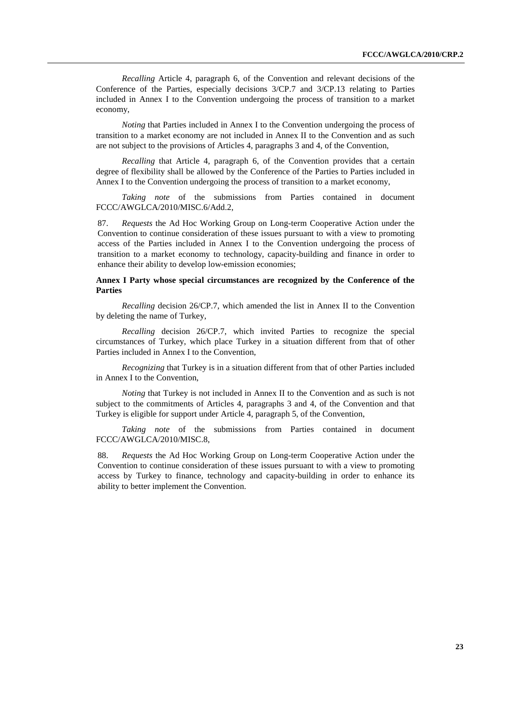*Recalling* Article 4, paragraph 6, of the Convention and relevant decisions of the Conference of the Parties, especially decisions 3/CP.7 and 3/CP.13 relating to Parties included in Annex I to the Convention undergoing the process of transition to a market economy,

*Noting* that Parties included in Annex I to the Convention undergoing the process of transition to a market economy are not included in Annex II to the Convention and as such are not subject to the provisions of Articles 4, paragraphs 3 and 4, of the Convention,

 *Recalling* that Article 4, paragraph 6, of the Convention provides that a certain degree of flexibility shall be allowed by the Conference of the Parties to Parties included in Annex I to the Convention undergoing the process of transition to a market economy,

 *Taking note* of the submissions from Parties contained in document FCCC/AWGLCA/2010/MISC.6/Add.2,

87. *Requests* the Ad Hoc Working Group on Long-term Cooperative Action under the Convention to continue consideration of these issues pursuant to with a view to promoting access of the Parties included in Annex I to the Convention undergoing the process of transition to a market economy to technology, capacity-building and finance in order to enhance their ability to develop low-emission economies;

### **Annex I Party whose special circumstances are recognized by the Conference of the Parties**

*Recalling* decision 26/CP.7, which amended the list in Annex II to the Convention by deleting the name of Turkey,

 *Recalling* decision 26/CP.7, which invited Parties to recognize the special circumstances of Turkey, which place Turkey in a situation different from that of other Parties included in Annex I to the Convention,

 *Recognizing* that Turkey is in a situation different from that of other Parties included in Annex I to the Convention,

*Noting* that Turkey is not included in Annex II to the Convention and as such is not subject to the commitments of Articles 4, paragraphs 3 and 4, of the Convention and that Turkey is eligible for support under Article 4, paragraph 5, of the Convention,

 *Taking note* of the submissions from Parties contained in document FCCC/AWGLCA/2010/MISC.8,

88. *Requests* the Ad Hoc Working Group on Long-term Cooperative Action under the Convention to continue consideration of these issues pursuant to with a view to promoting access by Turkey to finance, technology and capacity-building in order to enhance its ability to better implement the Convention.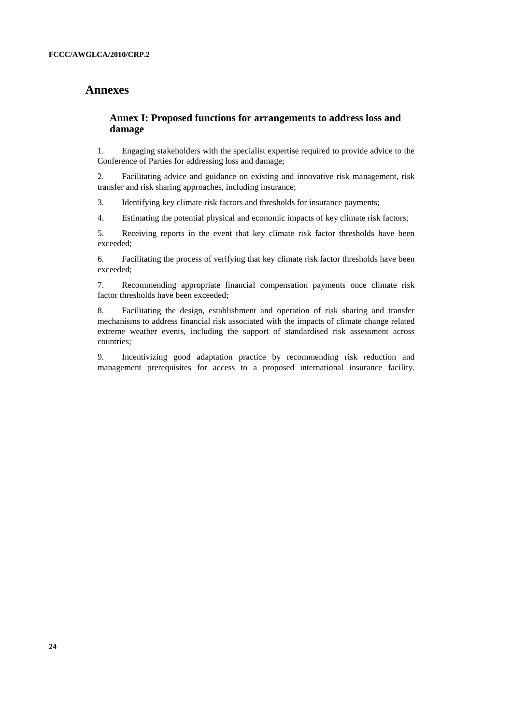## **Annexes**

### **Annex I: Proposed functions for arrangements to address loss and damage**

1. Engaging stakeholders with the specialist expertise required to provide advice to the Conference of Parties for addressing loss and damage;

2. Facilitating advice and guidance on existing and innovative risk management, risk transfer and risk sharing approaches, including insurance;

3. Identifying key climate risk factors and thresholds for insurance payments;

4. Estimating the potential physical and economic impacts of key climate risk factors;

5. Receiving reports in the event that key climate risk factor thresholds have been exceeded;

6. Facilitating the process of verifying that key climate risk factor thresholds have been exceeded;

7. Recommending appropriate financial compensation payments once climate risk factor thresholds have been exceeded;

8. Facilitating the design, establishment and operation of risk sharing and transfer mechanisms to address financial risk associated with the impacts of climate change related extreme weather events, including the support of standardised risk assessment across countries;

9. Incentivizing good adaptation practice by recommending risk reduction and management prerequisites for access to a proposed international insurance facility.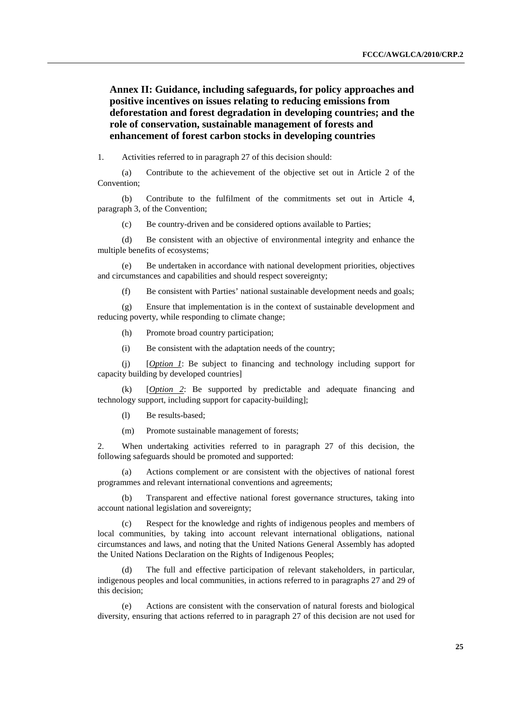**Annex II: Guidance, including safeguards, for policy approaches and positive incentives on issues relating to reducing emissions from deforestation and forest degradation in developing countries; and the role of conservation, sustainable management of forests and enhancement of forest carbon stocks in developing countries** 

1. Activities referred to in paragraph 27 of this decision should:

(a) Contribute to the achievement of the objective set out in Article 2 of the Convention;

(b) Contribute to the fulfilment of the commitments set out in Article 4, paragraph 3, of the Convention;

(c) Be country-driven and be considered options available to Parties;

(d) Be consistent with an objective of environmental integrity and enhance the multiple benefits of ecosystems;

(e) Be undertaken in accordance with national development priorities, objectives and circumstances and capabilities and should respect sovereignty;

(f) Be consistent with Parties' national sustainable development needs and goals;

(g) Ensure that implementation is in the context of sustainable development and reducing poverty, while responding to climate change;

(h) Promote broad country participation;

(i) Be consistent with the adaptation needs of the country;

(j) [*Option 1*: Be subject to financing and technology including support for capacity building by developed countries]

(k) [*Option 2*: Be supported by predictable and adequate financing and technology support, including support for capacity-building];

(l) Be results-based;

(m) Promote sustainable management of forests;

2. When undertaking activities referred to in paragraph 27 of this decision, the following safeguards should be promoted and supported:

(a) Actions complement or are consistent with the objectives of national forest programmes and relevant international conventions and agreements;

(b) Transparent and effective national forest governance structures, taking into account national legislation and sovereignty;

(c) Respect for the knowledge and rights of indigenous peoples and members of local communities, by taking into account relevant international obligations, national circumstances and laws, and noting that the United Nations General Assembly has adopted the United Nations Declaration on the Rights of Indigenous Peoples;

(d) The full and effective participation of relevant stakeholders, in particular, indigenous peoples and local communities, in actions referred to in paragraphs 27 and 29 of this decision;

(e) Actions are consistent with the conservation of natural forests and biological diversity, ensuring that actions referred to in paragraph 27 of this decision are not used for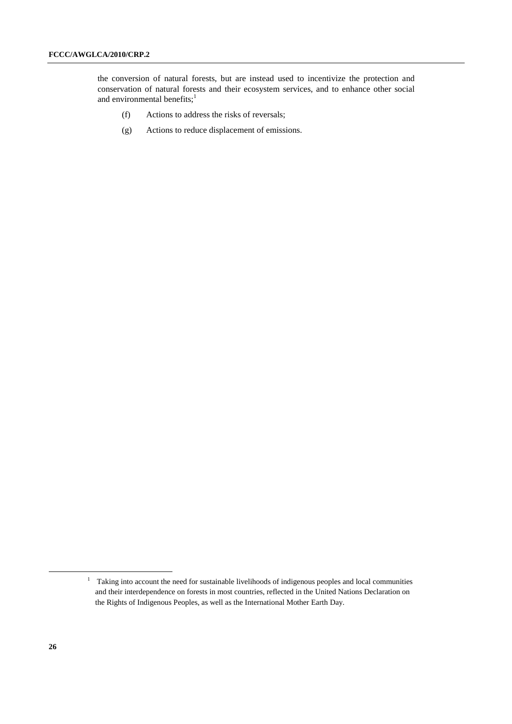the conversion of natural forests, but are instead used to incentivize the protection and conservation of natural forests and their ecosystem services, and to enhance other social and environmental benefits; $<sup>1</sup>$ </sup>

- (f) Actions to address the risks of reversals;
- (g) Actions to reduce displacement of emissions.

<sup>&</sup>lt;sup>1</sup> Taking into account the need for sustainable livelihoods of indigenous peoples and local communities and their interdependence on forests in most countries, reflected in the United Nations Declaration on the Rights of Indigenous Peoples, as well as the International Mother Earth Day.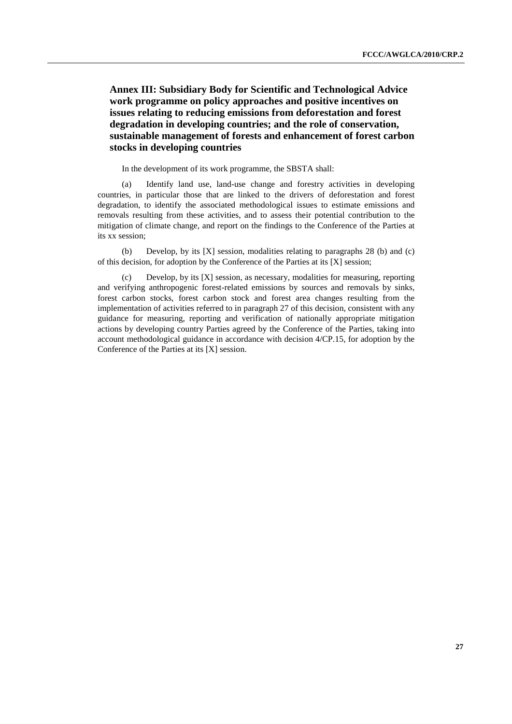**Annex III: Subsidiary Body for Scientific and Technological Advice work programme on policy approaches and positive incentives on issues relating to reducing emissions from deforestation and forest degradation in developing countries; and the role of conservation, sustainable management of forests and enhancement of forest carbon stocks in developing countries** 

In the development of its work programme, the SBSTA shall:

(a) Identify land use, land-use change and forestry activities in developing countries, in particular those that are linked to the drivers of deforestation and forest degradation, to identify the associated methodological issues to estimate emissions and removals resulting from these activities, and to assess their potential contribution to the mitigation of climate change, and report on the findings to the Conference of the Parties at its xx session;

(b) Develop, by its [X] session, modalities relating to paragraphs 28 (b) and (c) of this decision, for adoption by the Conference of the Parties at its [X] session;

(c) Develop, by its [X] session, as necessary, modalities for measuring, reporting and verifying anthropogenic forest-related emissions by sources and removals by sinks, forest carbon stocks, forest carbon stock and forest area changes resulting from the implementation of activities referred to in paragraph 27 of this decision, consistent with any guidance for measuring, reporting and verification of nationally appropriate mitigation actions by developing country Parties agreed by the Conference of the Parties, taking into account methodological guidance in accordance with decision 4/CP.15, for adoption by the Conference of the Parties at its [X] session.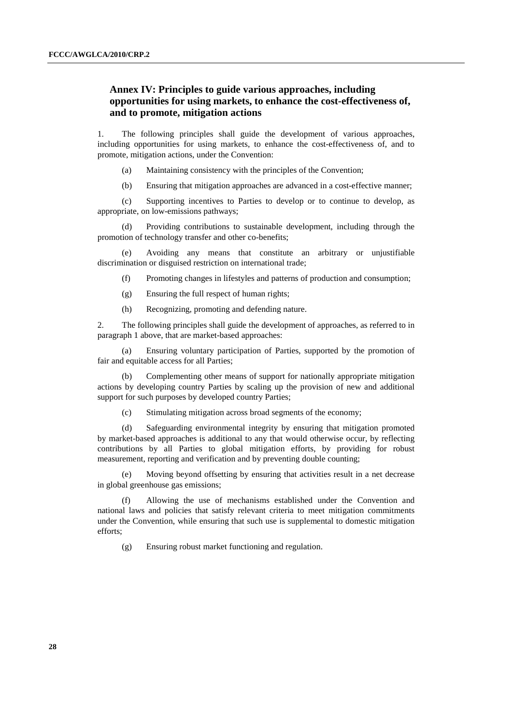### **Annex IV: Principles to guide various approaches, including opportunities for using markets, to enhance the cost-effectiveness of, and to promote, mitigation actions**

1. The following principles shall guide the development of various approaches, including opportunities for using markets, to enhance the cost-effectiveness of, and to promote, mitigation actions, under the Convention:

- (a) Maintaining consistency with the principles of the Convention;
- (b) Ensuring that mitigation approaches are advanced in a cost-effective manner;

 (c) Supporting incentives to Parties to develop or to continue to develop, as appropriate, on low-emissions pathways;

Providing contributions to sustainable development, including through the promotion of technology transfer and other co-benefits;

 (e) Avoiding any means that constitute an arbitrary or unjustifiable discrimination or disguised restriction on international trade;

(f) Promoting changes in lifestyles and patterns of production and consumption;

- (g) Ensuring the full respect of human rights;
- (h) Recognizing, promoting and defending nature.

2. The following principles shall guide the development of approaches, as referred to in paragraph 1 above, that are market-based approaches:

 (a) Ensuring voluntary participation of Parties, supported by the promotion of fair and equitable access for all Parties;

 (b) Complementing other means of support for nationally appropriate mitigation actions by developing country Parties by scaling up the provision of new and additional support for such purposes by developed country Parties;

(c) Stimulating mitigation across broad segments of the economy;

 (d) Safeguarding environmental integrity by ensuring that mitigation promoted by market-based approaches is additional to any that would otherwise occur, by reflecting contributions by all Parties to global mitigation efforts, by providing for robust measurement, reporting and verification and by preventing double counting;

 (e) Moving beyond offsetting by ensuring that activities result in a net decrease in global greenhouse gas emissions;

 (f) Allowing the use of mechanisms established under the Convention and national laws and policies that satisfy relevant criteria to meet mitigation commitments under the Convention, while ensuring that such use is supplemental to domestic mitigation efforts;

(g) Ensuring robust market functioning and regulation.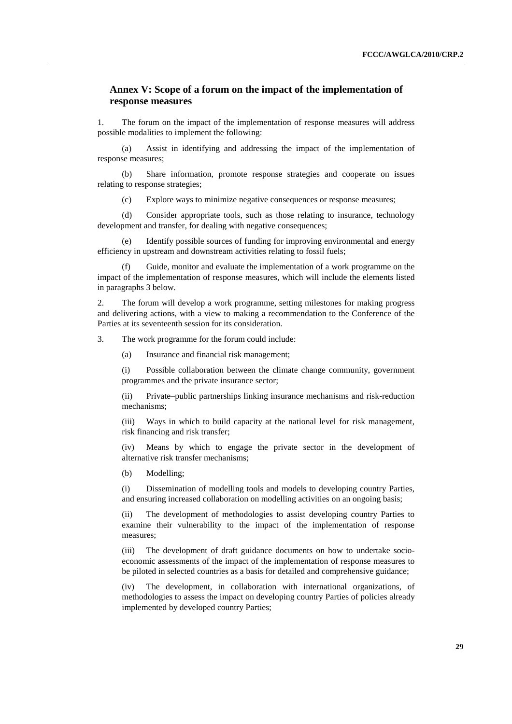### **Annex V: Scope of a forum on the impact of the implementation of response measures**

1. The forum on the impact of the implementation of response measures will address possible modalities to implement the following:

 (a) Assist in identifying and addressing the impact of the implementation of response measures;

 (b) Share information, promote response strategies and cooperate on issues relating to response strategies;

(c) Explore ways to minimize negative consequences or response measures;

 (d) Consider appropriate tools, such as those relating to insurance, technology development and transfer, for dealing with negative consequences;

 (e) Identify possible sources of funding for improving environmental and energy efficiency in upstream and downstream activities relating to fossil fuels;

Guide, monitor and evaluate the implementation of a work programme on the impact of the implementation of response measures, which will include the elements listed in paragraphs 3 below.

2. The forum will develop a work programme, setting milestones for making progress and delivering actions, with a view to making a recommendation to the Conference of the Parties at its seventeenth session for its consideration.

3. The work programme for the forum could include:

(a) Insurance and financial risk management;

(i) Possible collaboration between the climate change community, government programmes and the private insurance sector;

(ii) Private–public partnerships linking insurance mechanisms and risk-reduction mechanisms;

(iii) Ways in which to build capacity at the national level for risk management, risk financing and risk transfer;

(iv) Means by which to engage the private sector in the development of alternative risk transfer mechanisms;

(b) Modelling;

(i) Dissemination of modelling tools and models to developing country Parties, and ensuring increased collaboration on modelling activities on an ongoing basis;

(ii) The development of methodologies to assist developing country Parties to examine their vulnerability to the impact of the implementation of response measures;

(iii) The development of draft guidance documents on how to undertake socioeconomic assessments of the impact of the implementation of response measures to be piloted in selected countries as a basis for detailed and comprehensive guidance;

(iv) The development, in collaboration with international organizations, of methodologies to assess the impact on developing country Parties of policies already implemented by developed country Parties;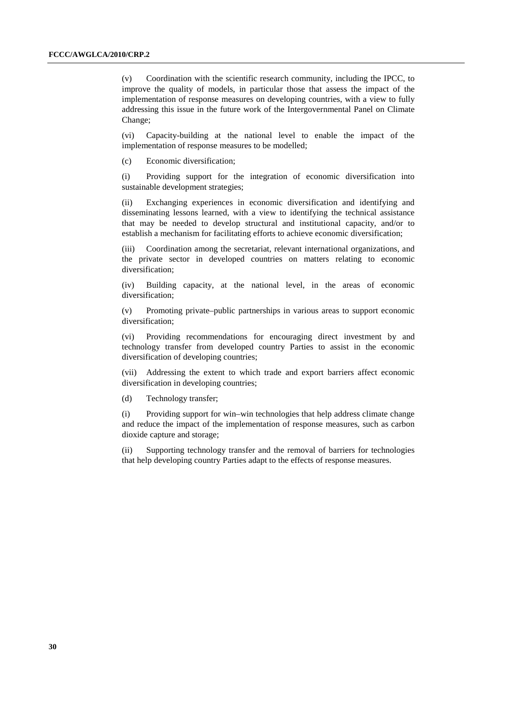(v) Coordination with the scientific research community, including the IPCC, to improve the quality of models, in particular those that assess the impact of the implementation of response measures on developing countries, with a view to fully addressing this issue in the future work of the Intergovernmental Panel on Climate Change;

(vi) Capacity-building at the national level to enable the impact of the implementation of response measures to be modelled;

(c) Economic diversification;

(i) Providing support for the integration of economic diversification into sustainable development strategies;

(ii) Exchanging experiences in economic diversification and identifying and disseminating lessons learned, with a view to identifying the technical assistance that may be needed to develop structural and institutional capacity, and/or to establish a mechanism for facilitating efforts to achieve economic diversification;

(iii) Coordination among the secretariat, relevant international organizations, and the private sector in developed countries on matters relating to economic diversification;

(iv) Building capacity, at the national level, in the areas of economic diversification;

(v) Promoting private–public partnerships in various areas to support economic diversification;

(vi) Providing recommendations for encouraging direct investment by and technology transfer from developed country Parties to assist in the economic diversification of developing countries;

(vii) Addressing the extent to which trade and export barriers affect economic diversification in developing countries;

(d) Technology transfer;

(i) Providing support for win–win technologies that help address climate change and reduce the impact of the implementation of response measures, such as carbon dioxide capture and storage;

(ii) Supporting technology transfer and the removal of barriers for technologies that help developing country Parties adapt to the effects of response measures.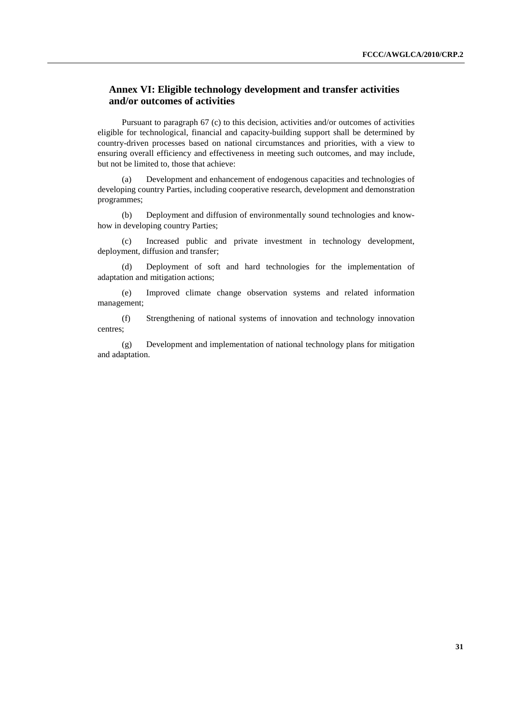## **Annex VI: Eligible technology development and transfer activities and/or outcomes of activities**

 Pursuant to paragraph 67 (c) to this decision, activities and/or outcomes of activities eligible for technological, financial and capacity-building support shall be determined by country-driven processes based on national circumstances and priorities, with a view to ensuring overall efficiency and effectiveness in meeting such outcomes, and may include, but not be limited to, those that achieve:

(a) Development and enhancement of endogenous capacities and technologies of developing country Parties, including cooperative research, development and demonstration programmes;

(b) Deployment and diffusion of environmentally sound technologies and knowhow in developing country Parties;

(c) Increased public and private investment in technology development, deployment, diffusion and transfer;

(d) Deployment of soft and hard technologies for the implementation of adaptation and mitigation actions;

(e) Improved climate change observation systems and related information management;

(f) Strengthening of national systems of innovation and technology innovation centres;

(g) Development and implementation of national technology plans for mitigation and adaptation.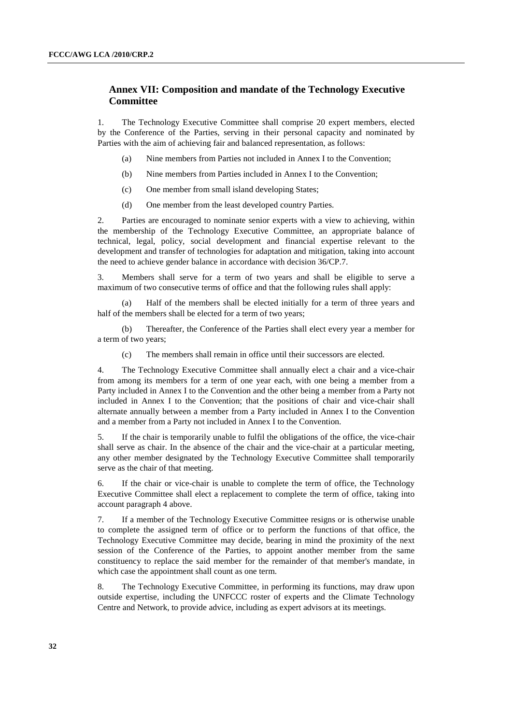### **Annex VII: Composition and mandate of the Technology Executive Committee**

1. The Technology Executive Committee shall comprise 20 expert members, elected by the Conference of the Parties, serving in their personal capacity and nominated by Parties with the aim of achieving fair and balanced representation, as follows:

- (a) Nine members from Parties not included in Annex I to the Convention;
- (b) Nine members from Parties included in Annex I to the Convention;
- (c) One member from small island developing States;
- (d) One member from the least developed country Parties.

2. Parties are encouraged to nominate senior experts with a view to achieving, within the membership of the Technology Executive Committee, an appropriate balance of technical, legal, policy, social development and financial expertise relevant to the development and transfer of technologies for adaptation and mitigation, taking into account the need to achieve gender balance in accordance with decision 36/CP.7.

3. Members shall serve for a term of two years and shall be eligible to serve a maximum of two consecutive terms of office and that the following rules shall apply:

 (a) Half of the members shall be elected initially for a term of three years and half of the members shall be elected for a term of two years;

 (b) Thereafter, the Conference of the Parties shall elect every year a member for a term of two years;

(c) The members shall remain in office until their successors are elected.

4. The Technology Executive Committee shall annually elect a chair and a vice-chair from among its members for a term of one year each, with one being a member from a Party included in Annex I to the Convention and the other being a member from a Party not included in Annex I to the Convention; that the positions of chair and vice-chair shall alternate annually between a member from a Party included in Annex I to the Convention and a member from a Party not included in Annex I to the Convention.

5. If the chair is temporarily unable to fulfil the obligations of the office, the vice-chair shall serve as chair. In the absence of the chair and the vice-chair at a particular meeting, any other member designated by the Technology Executive Committee shall temporarily serve as the chair of that meeting.

6. If the chair or vice-chair is unable to complete the term of office, the Technology Executive Committee shall elect a replacement to complete the term of office, taking into account paragraph 4 above.

7. If a member of the Technology Executive Committee resigns or is otherwise unable to complete the assigned term of office or to perform the functions of that office, the Technology Executive Committee may decide, bearing in mind the proximity of the next session of the Conference of the Parties, to appoint another member from the same constituency to replace the said member for the remainder of that member's mandate, in which case the appointment shall count as one term.

8. The Technology Executive Committee, in performing its functions, may draw upon outside expertise, including the UNFCCC roster of experts and the Climate Technology Centre and Network, to provide advice, including as expert advisors at its meetings.